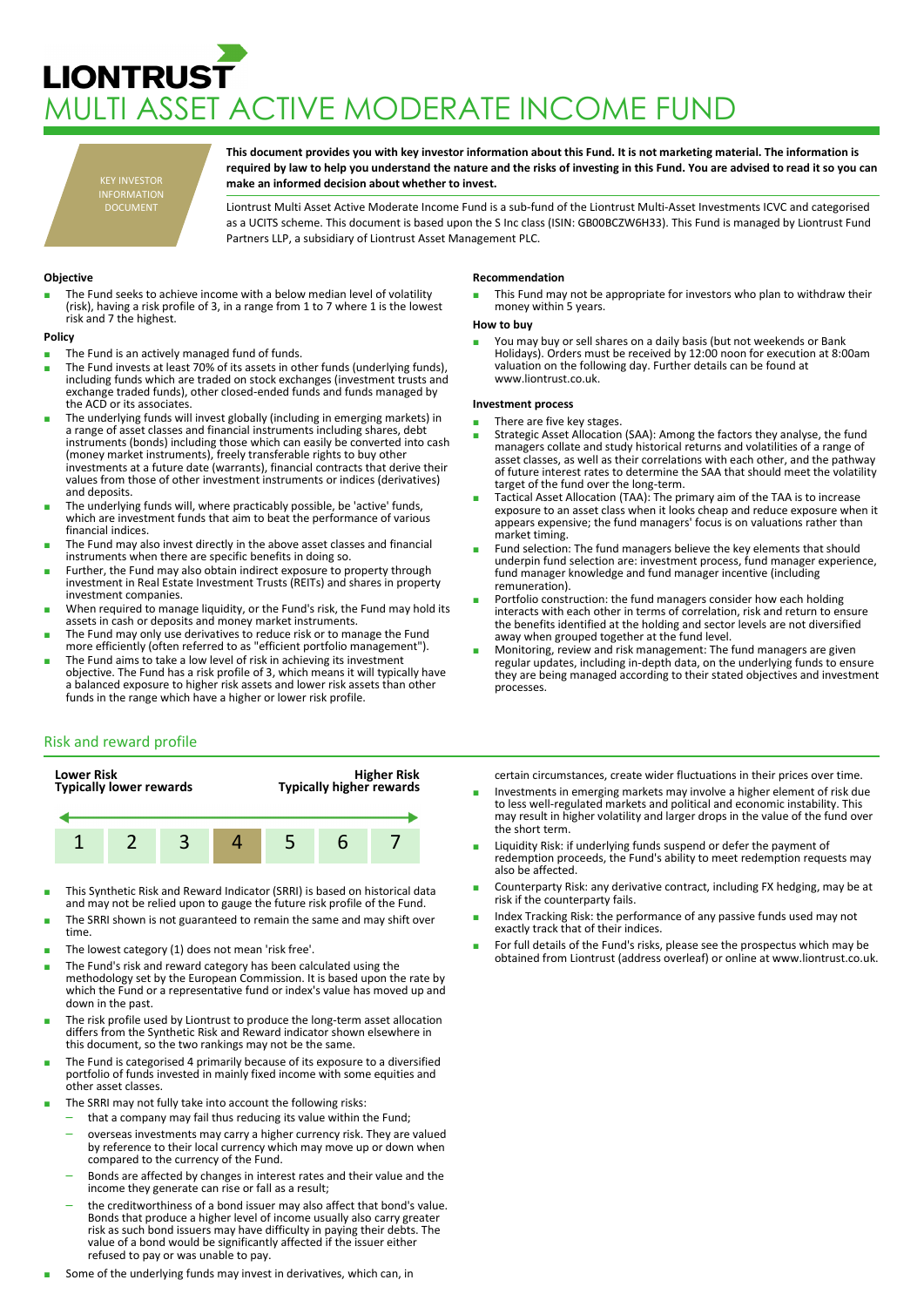# **LIONTRUST** MULTI ASSET ACTIVE MODERATE INCOME FUND

KEY INVESTOR INFORMATION DOCUMENT

**This document provides you with key investor information about this Fund. It is not marketing material. The information is required by law to help you understand the nature and the risks of investing in this Fund. You are advised to read it so you can make an informed decision about whether to invest.**

Liontrust Multi Asset Active Moderate Income Fund is a sub-fund of the Liontrust Multi-Asset Investments ICVC and categorised as a UCITS scheme. This document is based upon the S Inc class (ISIN: GB00BCZW6H33). This Fund is managed by Liontrust Fund Partners LLP, a subsidiary of Liontrust Asset Management PLC.

# **Objective**

The Fund seeks to achieve income with a below median level of volatility (risk), having a risk profile of 3, in a range from 1 to 7 where 1 is the lowest risk and 7 the highest.

## **Policy**

- The Fund is an actively managed fund of funds.
- The Fund invests at least 70% of its assets in other funds (underlying funds), including funds which are traded on stock exchanges (investment trusts and exchange traded funds), other closed-ended funds and funds managed by the ACD or its associates.
- The underlying funds will invest globally (including in emerging markets) in a range of asset classes and financial instruments including shares, debt instruments (bonds) including those which can easily be converted into cash (money market instruments), freely transferable rights to buy other investments at a future date (warrants), financial contracts that derive their values from those of other investment instruments or indices (derivatives) and deposits.
- The underlying funds will, where practicably possible, be 'active' funds, which are investment funds that aim to beat the performance of various financial indices.
- The Fund may also invest directly in the above asset classes and financial instruments when there are specific benefits in doing so.
- Further, the Fund may also obtain indirect exposure to property through investment in Real Estate Investment Trusts (REITs) and shares in property investment companies.
- When required to manage liquidity, or the Fund's risk, the Fund may hold its assets in cash or deposits and money market instruments.
- The Fund may only use derivatives to reduce risk or to manage the Fund more efficiently (often referred to as "efficient portfolio management").
- The Fund aims to take a low level of risk in achieving its investment objective. The Fund has a risk profile of 3, which means it will typically have a balanced exposure to higher risk assets and lower risk assets than other funds in the range which have a higher or lower risk profile.

## **Recommendation**

This Fund may not be appropriate for investors who plan to withdraw their money within 5 years.

#### **How to buy**

■ You may buy or sell shares on a daily basis (but not weekends or Bank<br>Holidays). Orders must be received by 12:00 noon for execution at 8:00am valuation on the following day. Further details can be found at www.liontrust.co.uk.

## **Investment process**

- There are five key stages.
- Strategic Asset Allocation (SAA): Among the factors they analyse, the fund managers collate and study historical returns and volatilities of a range of asset classes, as well as their correlations with each other, and the pathway of future interest rates to determine the SAA that should meet the volatility target of the fund over the long-term.
- Tactical Asset Allocation (TAA): The primary aim of the TAA is to increase exposure to an asset class when it looks cheap and reduce exposure when it appears expensive; the fund managers' focus is on valuations rather than market timing.
- Fund selection: The fund managers believe the key elements that should underpin fund selection are: investment process, fund manager experience, fund manager knowledge and fund manager incentive (including remuneration).
- Portfolio construction: the fund managers consider how each holding interacts with each other in terms of correlation, risk and return to ensure the benefits identified at the holding and sector levels are not diversified away when grouped together at the fund level.
- Monitoring, review and risk management: The fund managers are given regular updates, including in-depth data, on the underlying funds to ensure they are being managed according to their stated objectives and investment processes.

# Risk and reward profile



- This Synthetic Risk and Reward Indicator (SRRI) is based on historical data and may not be relied upon to gauge the future risk profile of the Fund.
- The SRRI shown is not guaranteed to remain the same and may shift over time.
- The lowest category (1) does not mean 'risk free'.
- The Fund's risk and reward category has been calculated using the methodology set by the European Commission. It is based upon the rate by which the Fund or a representative fund or index's value has moved up and down in the past.
- The risk profile used by Liontrust to produce the long-term asset allocation differs from the Synthetic Risk and Reward indicator shown elsewhere in this document, so the two rankings may not be the same.
- The Fund is categorised 4 primarily because of its exposure to a diversified portfolio of funds invested in mainly fixed income with some equities and other asset classes.
- The SRRI may not fully take into account the following risks:
	- that a company may fail thus reducing its value within the Fund;
	- overseas investments may carry a higher currency risk. They are valued by reference to their local currency which may move up or down when compared to the currency of the Fund.
	- Bonds are affected by changes in interest rates and their value and the income they generate can rise or fall as a result;
	- the creditworthiness of a bond issuer may also affect that bond's value. Bonds that produce a higher level of income usually also carry greater risk as such bond issuers may have difficulty in paying their debts. The value of a bond would be significantly affected if the issuer either refused to pay or was unable to pay.
- Some of the underlying funds may invest in derivatives, which can, in

certain circumstances, create wider fluctuations in their prices over time.

- Investments in emerging markets may involve a higher element of risk due to less well-regulated markets and political and economic instability. This may result in higher volatility and larger drops in the value of the fund over the short term.
- Liquidity Risk: if underlying funds suspend or defer the payment of redemption proceeds, the Fund's ability to meet redemption requests may also be affected.
- Counterparty Risk: any derivative contract, including FX hedging, may be at risk if the counterparty fails.
- Index Tracking Risk: the performance of any passive funds used may not exactly track that of their indices.
- For full details of the Fund's risks, please see the prospectus which may be obtained from Liontrust (address overleaf) or online at www.liontrust.co.uk.